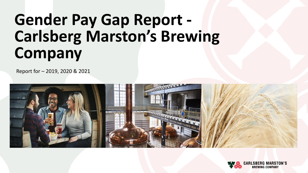# **Gender Pay Gap Report - Carlsberg Marston's Brewing Company**

Report for – 2019, 2020 & 2021



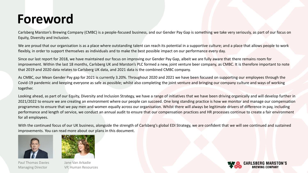### **Foreword**

Carlsberg Marston's Brewing Company (CMBC) is a people-focused business, and our Gender Pay Gap is something we take very seriously, as part of our focus on Equity, Diversity and Inclusion.

We are proud that our organisation is as a place where outstanding talent can reach its potential in a supportive culture; and a place that allows people to work flexibly, in order to support themselves as individuals and to make the best possible impact on our performance every day.

Since our last report for 2018, we have maintained our focus on improving our Gender Pay Gap, albeit we are fully aware that there remains room for improvement. Within the last 18 months, Carlsberg UK and Marston's PLC formed a new, joint venture beer company, as CMBC. It is therefore important to note that 2019 and 2020 data relates to Carlsberg UK data, and 2021 data is the combined CMBC company.

As CMBC, our Mean Gender Pay gap for 2021 is currently 3.20%. Throughout 2020 and 2021 we have been focused on supporting our employees through the Covid-19 pandemic and keeping everyone as safe as possible; whilst also completing the joint venture and bringing our company culture and ways of working together.

Looking ahead, as part of our Equity, Diversity and Inclusion Strategy, we have a range of initiatives that we have been driving organically and will develop further in 2021/2022 to ensure we are creating an environment where our people can succeed. One long standing practice is how we monitor and manage our compensation programmes to ensure that we pay men and women equally across our organisation. Whilst there will always be legitimate drivers of difference in pay, including performance and length of service, we conduct an annual audit to ensure that our compensation practices and HR processes continue to create a fair environment for all employees.

With the continued focus of our UK business, alongside the strength of Carlsberg's global EDI Strategy, we are confident that we will see continued and sustained improvements. You can read more about our plans in this document.



Paul Thomas Davies Jane Van Arkadie



Managing Director VP, Human Resources

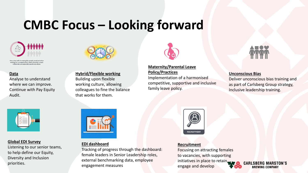### **CMBC Focus – Looking forward**



ore than half of employable people would prioritiz rking for a company that values diversity, a topic re especially passionate about

#### **Data**

Analyse to understand where we can improve. Continue with Pay Equity Audit.



### **Hybrid/Flexible working**

Building upon flexible working culture, allowing colleagues to fine the balance that works for them.



#### **Maternity/Parental Leave Policy/Practices**

Implementation of a harmonised competitive, supportive and inclusive family leave policy.



#### **Unconscious Bias**

Deliver unconscious bias training and as part of Carlsberg Group strategy, Inclusive leadership training.



#### **Global EDI Survey**

Listening to our senior teams, to help define our Equity, Diversity and Inclusion priorities.

#### **EDI dashboard**

Tracking of progress through the dashboard: female leaders in Senior Leadership roles, external benchmarking data, employee engagement measures



#### **Recruitment**

Focusing on attracting females to vacancies, with supporting initiatives in place to retain. engage and develop



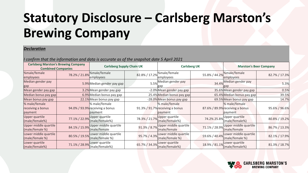## **Statutory Disclosure – Carlsberg Marston's Brewing Company**

#### *Declaration*

*I confirm that the information and data is accurate as of the snapshot date 5 April 2021*

| <b>Carlsberg Marston's Brewing Company</b><br><b>Combined Companies</b> |               | <b>Carlsberg Supply Chain UK</b>                            |  | <b>Carlsberg UK</b>                                         |               | <b>Marston's Beer Company</b>                               |               |
|-------------------------------------------------------------------------|---------------|-------------------------------------------------------------|--|-------------------------------------------------------------|---------------|-------------------------------------------------------------|---------------|
| %male/female<br>employees                                               | 78.2% / 21.8% | <b><i><u>Me</u>male/female</i></b><br>employees             |  | 82.8% / 17.2% Male/female<br>employees                      | 55.8% / 44.2% | %male/female<br>employees                                   | 82.7% / 17.3% |
| Median gender pay<br>gap                                                |               | 5.9% Median gender pay gap                                  |  | 5.5% Median gender pay                                      |               | 34.4% Median gender pay                                     | 5.3%          |
| Mean gender pay gap                                                     |               | 3.2% Mean gender pay gap                                    |  | -2.0% Mean gender pay gap                                   |               | 35.6% Mean gender pay gap                                   | 0.5%          |
| Median bonus pay gap                                                    |               | 6.9% Median bonus pay gap                                   |  | 25.4% Median bonus pay gap                                  |               | 65.4% Median bonus pay gap                                  | 39.5%         |
| Mean bonus pay gap                                                      |               | 22.1% Mean bonus pay gap                                    |  | -28.0% Mean bonus pay gap                                   |               | 69.5% Mean bonus pay gap                                    | 14.7%         |
| % male/female<br>receiving a bonus<br>payment                           |               | % male/female<br>94.0% / 93.9% receiving a bonus<br>payment |  | % male/female<br>91.3% / 91.7% receiving a bonus<br>payment |               | % male/female<br>87.6% / 89.9% receiving a bonus<br>payment | 95.6% / 96.6% |
| Upper quartile<br>(male/female%)                                        | 77.1% / 22.9% | Upper quartile<br>(male/female%)                            |  | 78.3% / 21.7% Upper quartile<br>(male/female%)              | 74.2% 25.8%   | Upper quartile<br>(male/female%)                            | 80.8% / 19.2% |
| Upper middle quartile<br>(male/female %)                                | 84.1% / 15.9% | Upper middle quartile<br>(male/female                       |  | 91.3% / 8.7% Upper middle quartile<br>(male/female          |               | 71.1% / 28.9% Upper middle quartile<br>male/female          | 86.7% / 13.3% |
| Lower middle quartile<br>(male/female %)                                | 80.5% / 19.5% | Lower middle quartile<br>(male/female %)                    |  | 95.7% / 4.3% Lower middle quartile<br>(male/female %)       | 59.6% / 40.4% | Lower middle quartile<br>(male/female %)                    | 82.1% / 17.9% |
| Lower quartile<br>(male/female%)                                        | 71.1% / 28.9% | Lower quartile<br>(male/female%)                            |  | 65.7% / 34.3% Lower quartile<br>(male/female%)              | 18.9% / 81.1% | Lower quartile<br>(male/female%)                            | 81.3% / 18.7% |